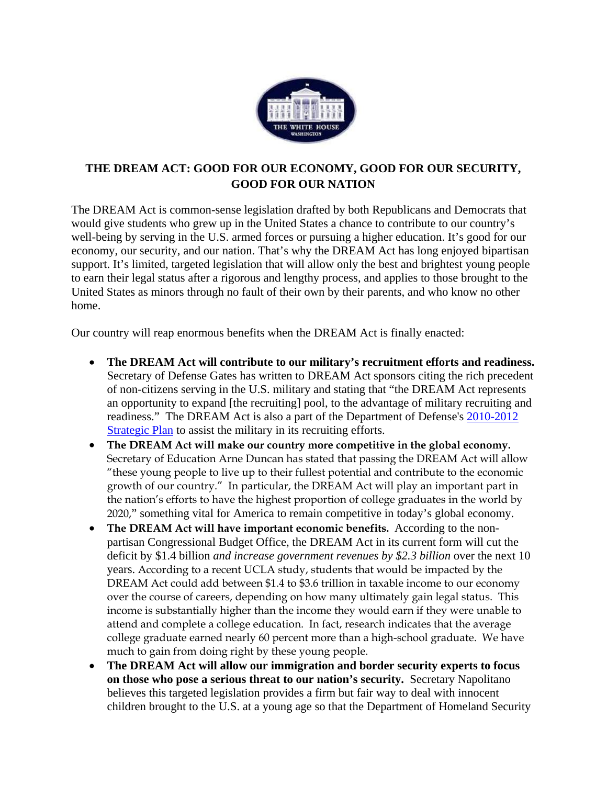

## **THE DREAM ACT: GOOD FOR OUR ECONOMY, GOOD FOR OUR SECURITY, GOOD FOR OUR NATION**

The DREAM Act is common-sense legislation drafted by both Republicans and Democrats that would give students who grew up in the United States a chance to contribute to our country's well-being by serving in the U.S. armed forces or pursuing a higher education. It's good for our economy, our security, and our nation. That's why the DREAM Act has long enjoyed bipartisan support. It's limited, targeted legislation that will allow only the best and brightest young people to earn their legal status after a rigorous and lengthy process, and applies to those brought to the United States as minors through no fault of their own by their parents, and who know no other home.

Our country will reap enormous benefits when the DREAM Act is finally enacted:

- **The DREAM Act will contribute to our military's recruitment efforts and readiness.** Secretary of Defense Gates has written to DREAM Act sponsors citing the rich precedent of non-citizens serving in the U.S. military and stating that "the DREAM Act represents an opportunity to expand [the recruiting] pool, to the advantage of military recruiting and readiness." The DREAM Act is also a part of the Department of Defense's 2010-2012 Strategic Plan to assist the military in its recruiting efforts.
- **The DREAM Act will make our country more competitive in the global economy.**  Secretary of Education Arne Duncan has stated that passing the DREAM Act will allow "these young people to live up to their fullest potential and contribute to the economic growth of our country." In particular, the DREAM Act will play an important part in the nation's efforts to have the highest proportion of college graduates in the world by 2020," something vital for America to remain competitive in today's global economy.
- **The DREAM Act will have important economic benefits.** According to the nonpartisan Congressional Budget Office, the DREAM Act in its current form will cut the deficit by \$1.4 billion *and increase government revenues by \$2.3 billion* over the next 10 years. According to a recent UCLA study, students that would be impacted by the DREAM Act could add between \$1.4 to \$3.6 trillion in taxable income to our economy over the course of careers, depending on how many ultimately gain legal status. This income is substantially higher than the income they would earn if they were unable to attend and complete a college education. In fact, research indicates that the average college graduate earned nearly 60 percent more than a high-school graduate. We have much to gain from doing right by these young people.
- **The DREAM Act will allow our immigration and border security experts to focus on those who pose a serious threat to our nation's security.** Secretary Napolitano believes this targeted legislation provides a firm but fair way to deal with innocent children brought to the U.S. at a young age so that the Department of Homeland Security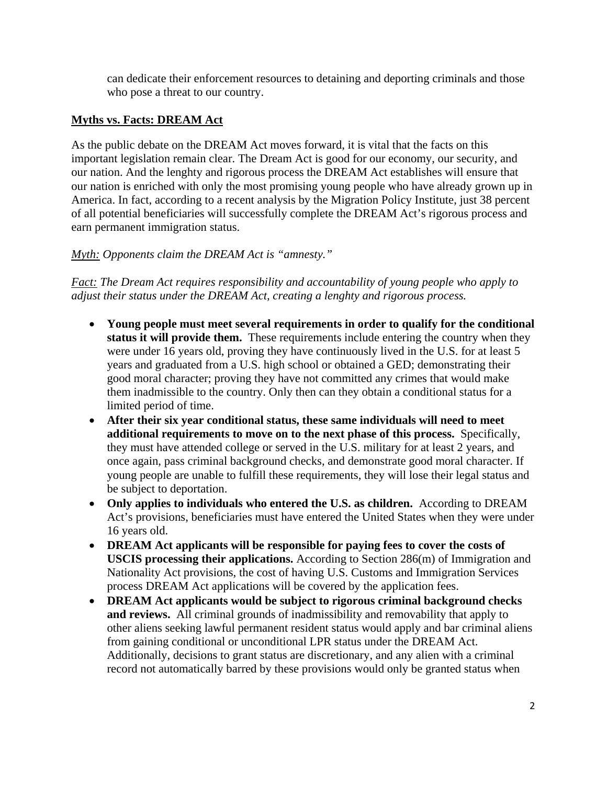can dedicate their enforcement resources to detaining and deporting criminals and those who pose a threat to our country.

## **Myths vs. Facts: DREAM Act**

As the public debate on the DREAM Act moves forward, it is vital that the facts on this important legislation remain clear. The Dream Act is good for our economy, our security, and our nation. And the lenghty and rigorous process the DREAM Act establishes will ensure that our nation is enriched with only the most promising young people who have already grown up in America. In fact, according to a recent analysis by the Migration Policy Institute, just 38 percent of all potential beneficiaries will successfully complete the DREAM Act's rigorous process and earn permanent immigration status.

## *Myth: Opponents claim the DREAM Act is "amnesty."*

*Fact: The Dream Act requires responsibility and accountability of young people who apply to adjust their status under the DREAM Act, creating a lenghty and rigorous process.* 

- **Young people must meet several requirements in order to qualify for the conditional status it will provide them.** These requirements include entering the country when they were under 16 years old, proving they have continuously lived in the U.S. for at least 5 years and graduated from a U.S. high school or obtained a GED; demonstrating their good moral character; proving they have not committed any crimes that would make them inadmissible to the country. Only then can they obtain a conditional status for a limited period of time.
- **After their six year conditional status, these same individuals will need to meet additional requirements to move on to the next phase of this process.** Specifically, they must have attended college or served in the U.S. military for at least 2 years, and once again, pass criminal background checks, and demonstrate good moral character. If young people are unable to fulfill these requirements, they will lose their legal status and be subject to deportation.
- **Only applies to individuals who entered the U.S. as children.** According to DREAM Act's provisions, beneficiaries must have entered the United States when they were under 16 years old.
- **DREAM Act applicants will be responsible for paying fees to cover the costs of USCIS processing their applications.** According to Section 286(m) of Immigration and Nationality Act provisions, the cost of having U.S. Customs and Immigration Services process DREAM Act applications will be covered by the application fees.
- **DREAM Act applicants would be subject to rigorous criminal background checks and reviews.** All criminal grounds of inadmissibility and removability that apply to other aliens seeking lawful permanent resident status would apply and bar criminal aliens from gaining conditional or unconditional LPR status under the DREAM Act. Additionally, decisions to grant status are discretionary, and any alien with a criminal record not automatically barred by these provisions would only be granted status when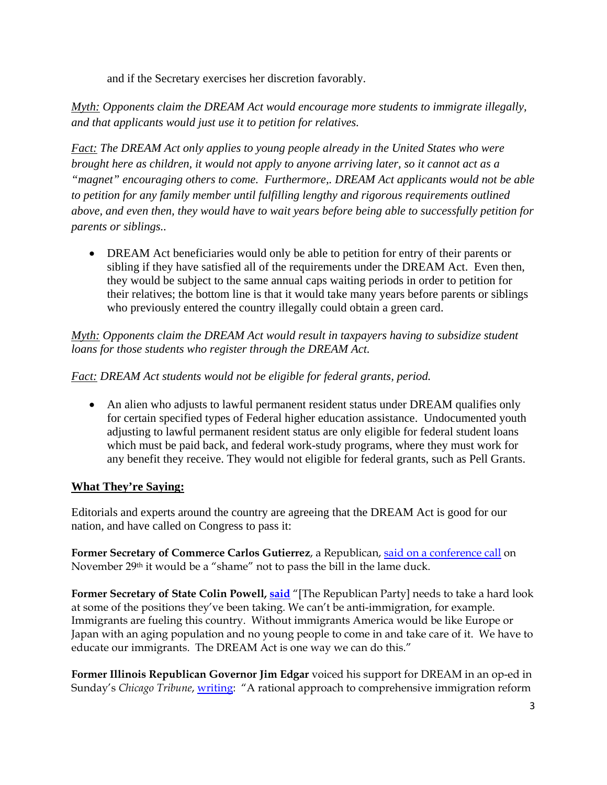and if the Secretary exercises her discretion favorably.

*Myth: Opponents claim the DREAM Act would encourage more students to immigrate illegally, and that applicants would just use it to petition for relatives.* 

*Fact: The DREAM Act only applies to young people already in the United States who were brought here as children, it would not apply to anyone arriving later, so it cannot act as a "magnet" encouraging others to come. Furthermore,. DREAM Act applicants would not be able to petition for any family member until fulfilling lengthy and rigorous requirements outlined above, and even then, they would have to wait years before being able to successfully petition for parents or siblings..* 

 DREAM Act beneficiaries would only be able to petition for entry of their parents or sibling if they have satisfied all of the requirements under the DREAM Act. Even then, they would be subject to the same annual caps waiting periods in order to petition for their relatives; the bottom line is that it would take many years before parents or siblings who previously entered the country illegally could obtain a green card.

*Myth: Opponents claim the DREAM Act would result in taxpayers having to subsidize student loans for those students who register through the DREAM Act.* 

*Fact: DREAM Act students would not be eligible for federal grants, period.* 

 An alien who adjusts to lawful permanent resident status under DREAM qualifies only for certain specified types of Federal higher education assistance. Undocumented youth adjusting to lawful permanent resident status are only eligible for federal student loans which must be paid back, and federal work-study programs, where they must work for any benefit they receive. They would not eligible for federal grants, such as Pell Grants.

## **What They're Saying:**

Editorials and experts around the country are agreeing that the DREAM Act is good for our nation, and have called on Congress to pass it:

Former Secretary of Commerce Carlos Gutierrez, a Republican, said on a conference call on November 29th it would be a "shame" not to pass the bill in the lame duck.

**Former Secretary of State Colin Powell, said** "[The Republican Party] needs to take a hard look at some of the positions they've been taking. We can't be anti-immigration, for example. Immigrants are fueling this country. Without immigrants America would be like Europe or Japan with an aging population and no young people to come in and take care of it. We have to educate our immigrants. The DREAM Act is one way we can do this."

**Former Illinois Republican Governor Jim Edgar** voiced his support for DREAM in an op-ed in Sunday's *Chicago Tribune*, writing: "A rational approach to comprehensive immigration reform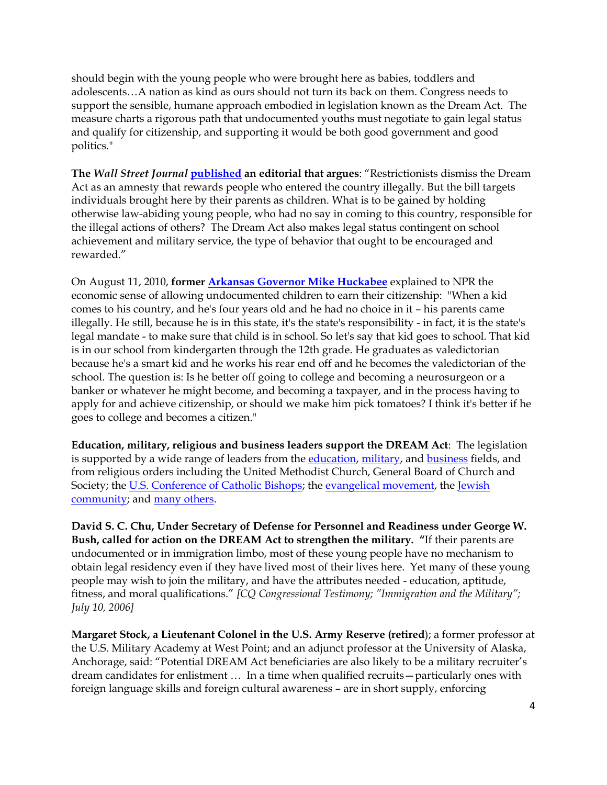should begin with the young people who were brought here as babies, toddlers and adolescents…A nation as kind as ours should not turn its back on them. Congress needs to support the sensible, humane approach embodied in legislation known as the Dream Act. The measure charts a rigorous path that undocumented youths must negotiate to gain legal status and qualify for citizenship, and supporting it would be both good government and good politics."

**The** *Wall Street Journal* **published an editorial that argues**: "Restrictionists dismiss the Dream Act as an amnesty that rewards people who entered the country illegally. But the bill targets individuals brought here by their parents as children. What is to be gained by holding otherwise law-abiding young people, who had no say in coming to this country, responsible for the illegal actions of others? The Dream Act also makes legal status contingent on school achievement and military service, the type of behavior that ought to be encouraged and rewarded."

On August 11, 2010, **former Arkansas Governor Mike Huckabee** explained to NPR the economic sense of allowing undocumented children to earn their citizenship: "When a kid comes to his country, and he's four years old and he had no choice in it – his parents came illegally. He still, because he is in this state, it's the state's responsibility - in fact, it is the state's legal mandate - to make sure that child is in school. So let's say that kid goes to school. That kid is in our school from kindergarten through the 12th grade. He graduates as valedictorian because he's a smart kid and he works his rear end off and he becomes the valedictorian of the school. The question is: Is he better off going to college and becoming a neurosurgeon or a banker or whatever he might become, and becoming a taxpayer, and in the process having to apply for and achieve citizenship, or should we make him pick tomatoes? I think it's better if he goes to college and becomes a citizen."

**Education, military, religious and business leaders support the DREAM Act**: The legislation is supported by a wide range of leaders from the education, military, and business fields, and from religious orders including the United Methodist Church, General Board of Church and Society; the U.S. Conference of Catholic Bishops; the evangelical movement, the Jewish community; and many others.

**David S. C. Chu, Under Secretary of Defense for Personnel and Readiness under George W. Bush, called for action on the DREAM Act to strengthen the military. "**If their parents are undocumented or in immigration limbo, most of these young people have no mechanism to obtain legal residency even if they have lived most of their lives here. Yet many of these young people may wish to join the military, and have the attributes needed - education, aptitude, fitness, and moral qualifications." *[CQ Congressional Testimony; "Immigration and the Military"; July 10, 2006]*

**Margaret Stock, a Lieutenant Colonel in the U.S. Army Reserve (retired**); a former professor at the U.S. Military Academy at West Point; and an adjunct professor at the University of Alaska, Anchorage, said: "Potential DREAM Act beneficiaries are also likely to be a military recruiter's dream candidates for enlistment … In a time when qualified recruits—particularly ones with foreign language skills and foreign cultural awareness – are in short supply, enforcing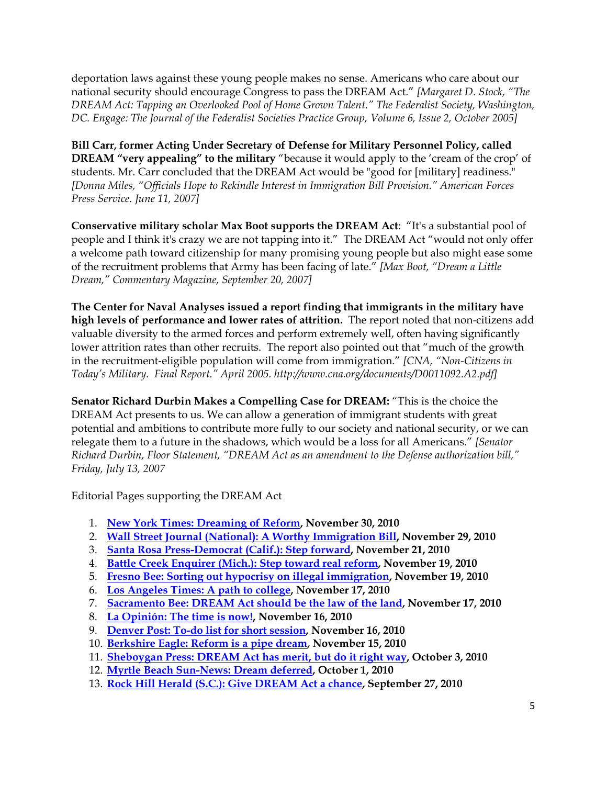deportation laws against these young people makes no sense. Americans who care about our national security should encourage Congress to pass the DREAM Act." *[Margaret D. Stock, "The DREAM Act: Tapping an Overlooked Pool of Home Grown Talent." The Federalist Society, Washington, DC. Engage: The Journal of the Federalist Societies Practice Group, Volume 6, Issue 2, October 2005]*

**Bill Carr, former Acting Under Secretary of Defense for Military Personnel Policy, called DREAM "very appealing" to the military** "because it would apply to the 'cream of the crop' of students. Mr. Carr concluded that the DREAM Act would be "good for [military] readiness." *[Donna Miles, "Officials Hope to Rekindle Interest in Immigration Bill Provision." American Forces Press Service. June 11, 2007]*

**Conservative military scholar Max Boot supports the DREAM Act**: "It's a substantial pool of people and I think it's crazy we are not tapping into it." The DREAM Act "would not only offer a welcome path toward citizenship for many promising young people but also might ease some of the recruitment problems that Army has been facing of late." *[Max Boot, "Dream a Little Dream," Commentary Magazine, September 20, 2007]*

**The Center for Naval Analyses issued a report finding that immigrants in the military have high levels of performance and lower rates of attrition.** The report noted that non-citizens add valuable diversity to the armed forces and perform extremely well, often having significantly lower attrition rates than other recruits. The report also pointed out that "much of the growth in the recruitment‐eligible population will come from immigration." *[CNA, "Non-Citizens in Today's Military. Final Report." April 2005. http://www.cna.org/documents/D0011092.A2.pdf]*

**Senator Richard Durbin Makes a Compelling Case for DREAM:** "This is the choice the DREAM Act presents to us. We can allow a generation of immigrant students with great potential and ambitions to contribute more fully to our society and national security, or we can relegate them to a future in the shadows, which would be a loss for all Americans." *[Senator Richard Durbin, Floor Statement, "DREAM Act as an amendment to the Defense authorization bill," Friday, July 13, 2007*

Editorial Pages supporting the DREAM Act

- 1. **New York Times: Dreaming of Reform, November 30, 2010**
- 2. **Wall Street Journal (National): A Worthy Immigration Bill, November 29, 2010**
- 3. **Santa Rosa Press-Democrat (Calif.): Step forward, November 21, 2010**
- 4. **Battle Creek Enquirer (Mich.): Step toward real reform, November 19, 2010**
- 5. **Fresno Bee: Sorting out hypocrisy on illegal immigration, November 19, 2010**
- 6. **Los Angeles Times: A path to college, November 17, 2010**
- 7. **Sacramento Bee: DREAM Act should be the law of the land, November 17, 2010**
- 8. **La Opinión: The time is now!, November 16, 2010**
- 9. **Denver Post: To-do list for short session, November 16, 2010**
- 10. **Berkshire Eagle: Reform is a pipe dream, November 15, 2010**
- 11. **Sheboygan Press: DREAM Act has merit, but do it right way, October 3, 2010**
- 12. **Myrtle Beach Sun-News: Dream deferred, October 1, 2010**
- 13. **Rock Hill Herald (S.C.): Give DREAM Act a chance, September 27, 2010**